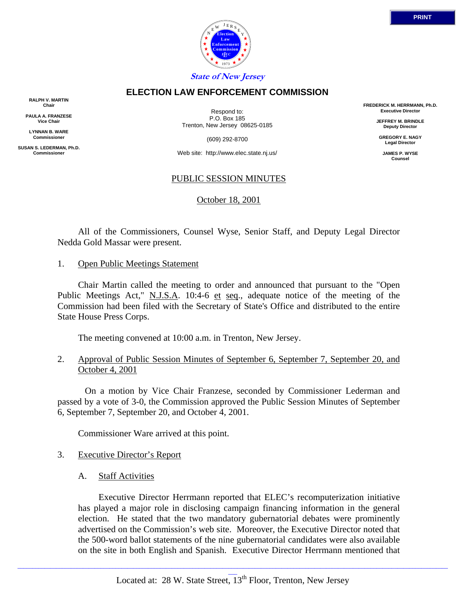

## **ELECTION LAW ENFORCEMENT COMMISSION**

**RALPH V. MARTIN Chair**

**PAULA A. FRANZESE Vice Chair**

**LYNNAN B. WARE Commissioner**

**SUSAN S. LEDERMAN, Ph.D. Commissioner**

Respond to: P.O. Box 185 Trenton, New Jersey 08625-0185

(609) 292-8700

Web site: http://www.elec.state.nj.us/

## PUBLIC SESSION MINUTES

October 18, 2001

 All of the Commissioners, Counsel Wyse, Senior Staff, and Deputy Legal Director Nedda Gold Massar were present.

1. Open Public Meetings Statement

 Chair Martin called the meeting to order and announced that pursuant to the "Open Public Meetings Act," N.J.S.A. 10:4-6 et seq., adequate notice of the meeting of the Commission had been filed with the Secretary of State's Office and distributed to the entire State House Press Corps.

The meeting convened at 10:00 a.m. in Trenton, New Jersey.

2. Approval of Public Session Minutes of September 6, September 7, September 20, and October 4, 2001

 On a motion by Vice Chair Franzese, seconded by Commissioner Lederman and passed by a vote of 3-0, the Commission approved the Public Session Minutes of September 6, September 7, September 20, and October 4, 2001.

Commissioner Ware arrived at this point.

#### 3. Executive Director's Report

A. Staff Activities

 Executive Director Herrmann reported that ELEC's recomputerization initiative has played a major role in disclosing campaign financing information in the general election. He stated that the two mandatory gubernatorial debates were prominently advertised on the Commission's web site. Moreover, the Executive Director noted that the 500-word ballot statements of the nine gubernatorial candidates were also available on the site in both English and Spanish. Executive Director Herrmann mentioned that

**FREDERICK M. HERRMANN, Ph.D. Executive Director JEFFREY M. BRINDLE Deputy Director GREGORY E. NAGY Legal Director JAMES P. WYSE Counsel**

\_\_\_\_\_\_\_\_\_\_\_\_\_\_\_\_\_\_\_\_\_\_\_\_\_\_\_\_\_\_\_\_\_\_\_\_\_\_\_\_\_\_\_\_\_\_\_\_\_\_\_\_\_\_\_\_\_\_\_\_\_\_\_\_\_\_\_\_\_\_\_\_\_\_\_\_\_\_\_\_\_\_\_\_\_\_\_\_\_\_\_\_\_\_\_\_\_\_\_\_\_\_\_\_\_\_\_\_\_\_\_\_\_\_\_\_\_\_\_\_\_\_\_\_\_\_\_\_\_\_\_\_\_\_\_\_\_\_\_\_\_\_\_\_\_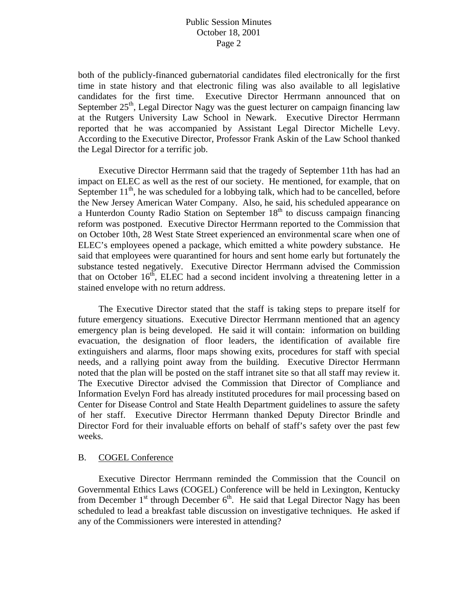both of the publicly-financed gubernatorial candidates filed electronically for the first time in state history and that electronic filing was also available to all legislative candidates for the first time. Executive Director Herrmann announced that on September  $25<sup>th</sup>$ , Legal Director Nagy was the guest lecturer on campaign financing law at the Rutgers University Law School in Newark. Executive Director Herrmann reported that he was accompanied by Assistant Legal Director Michelle Levy. According to the Executive Director, Professor Frank Askin of the Law School thanked the Legal Director for a terrific job.

 Executive Director Herrmann said that the tragedy of September 11th has had an impact on ELEC as well as the rest of our society. He mentioned, for example, that on September  $11<sup>th</sup>$ , he was scheduled for a lobbying talk, which had to be cancelled, before the New Jersey American Water Company. Also, he said, his scheduled appearance on a Hunterdon County Radio Station on September  $18<sup>th</sup>$  to discuss campaign financing reform was postponed. Executive Director Herrmann reported to the Commission that on October 10th, 28 West State Street experienced an environmental scare when one of ELEC's employees opened a package, which emitted a white powdery substance. He said that employees were quarantined for hours and sent home early but fortunately the substance tested negatively. Executive Director Herrmann advised the Commission that on October  $16<sup>th</sup>$ , ELEC had a second incident involving a threatening letter in a stained envelope with no return address.

 The Executive Director stated that the staff is taking steps to prepare itself for future emergency situations. Executive Director Herrmann mentioned that an agency emergency plan is being developed. He said it will contain: information on building evacuation, the designation of floor leaders, the identification of available fire extinguishers and alarms, floor maps showing exits, procedures for staff with special needs, and a rallying point away from the building. Executive Director Herrmann noted that the plan will be posted on the staff intranet site so that all staff may review it. The Executive Director advised the Commission that Director of Compliance and Information Evelyn Ford has already instituted procedures for mail processing based on Center for Disease Control and State Health Department guidelines to assure the safety of her staff. Executive Director Herrmann thanked Deputy Director Brindle and Director Ford for their invaluable efforts on behalf of staff's safety over the past few weeks.

#### B. COGEL Conference

 Executive Director Herrmann reminded the Commission that the Council on Governmental Ethics Laws (COGEL) Conference will be held in Lexington, Kentucky from December  $1<sup>st</sup>$  through December  $6<sup>th</sup>$ . He said that Legal Director Nagy has been scheduled to lead a breakfast table discussion on investigative techniques. He asked if any of the Commissioners were interested in attending?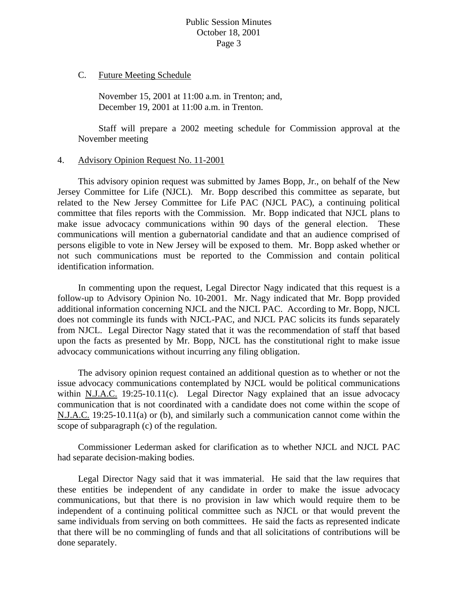C. Future Meeting Schedule

 November 15, 2001 at 11:00 a.m. in Trenton; and, December 19, 2001 at 11:00 a.m. in Trenton.

 Staff will prepare a 2002 meeting schedule for Commission approval at the November meeting

## 4. Advisory Opinion Request No. 11-2001

 This advisory opinion request was submitted by James Bopp, Jr., on behalf of the New Jersey Committee for Life (NJCL). Mr. Bopp described this committee as separate, but related to the New Jersey Committee for Life PAC (NJCL PAC), a continuing political committee that files reports with the Commission. Mr. Bopp indicated that NJCL plans to make issue advocacy communications within 90 days of the general election. These communications will mention a gubernatorial candidate and that an audience comprised of persons eligible to vote in New Jersey will be exposed to them. Mr. Bopp asked whether or not such communications must be reported to the Commission and contain political identification information.

 In commenting upon the request, Legal Director Nagy indicated that this request is a follow-up to Advisory Opinion No. 10-2001. Mr. Nagy indicated that Mr. Bopp provided additional information concerning NJCL and the NJCL PAC. According to Mr. Bopp, NJCL does not commingle its funds with NJCL-PAC, and NJCL PAC solicits its funds separately from NJCL. Legal Director Nagy stated that it was the recommendation of staff that based upon the facts as presented by Mr. Bopp, NJCL has the constitutional right to make issue advocacy communications without incurring any filing obligation.

 The advisory opinion request contained an additional question as to whether or not the issue advocacy communications contemplated by NJCL would be political communications within N.J.A.C. 19:25-10.11(c). Legal Director Nagy explained that an issue advocacy communication that is not coordinated with a candidate does not come within the scope of N.J.A.C. 19:25-10.11(a) or (b), and similarly such a communication cannot come within the scope of subparagraph (c) of the regulation.

 Commissioner Lederman asked for clarification as to whether NJCL and NJCL PAC had separate decision-making bodies.

 Legal Director Nagy said that it was immaterial. He said that the law requires that these entities be independent of any candidate in order to make the issue advocacy communications, but that there is no provision in law which would require them to be independent of a continuing political committee such as NJCL or that would prevent the same individuals from serving on both committees. He said the facts as represented indicate that there will be no commingling of funds and that all solicitations of contributions will be done separately.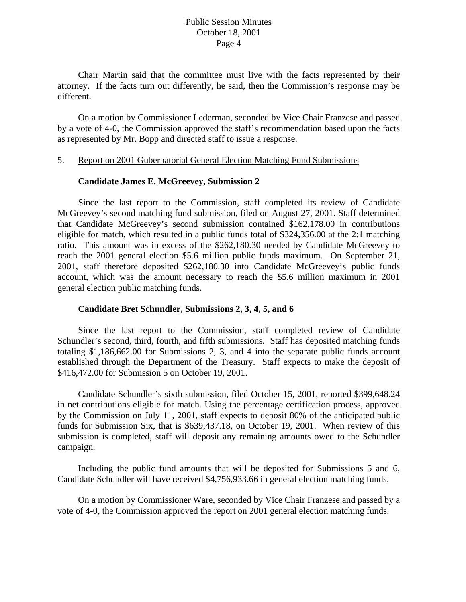Chair Martin said that the committee must live with the facts represented by their attorney. If the facts turn out differently, he said, then the Commission's response may be different.

 On a motion by Commissioner Lederman, seconded by Vice Chair Franzese and passed by a vote of 4-0, the Commission approved the staff's recommendation based upon the facts as represented by Mr. Bopp and directed staff to issue a response.

#### 5. Report on 2001 Gubernatorial General Election Matching Fund Submissions

## **Candidate James E. McGreevey, Submission 2**

 Since the last report to the Commission, staff completed its review of Candidate McGreevey's second matching fund submission, filed on August 27, 2001. Staff determined that Candidate McGreevey's second submission contained \$162,178.00 in contributions eligible for match, which resulted in a public funds total of \$324,356.00 at the 2:1 matching ratio. This amount was in excess of the \$262,180.30 needed by Candidate McGreevey to reach the 2001 general election \$5.6 million public funds maximum. On September 21, 2001, staff therefore deposited \$262,180.30 into Candidate McGreevey's public funds account, which was the amount necessary to reach the \$5.6 million maximum in 2001 general election public matching funds.

# **Candidate Bret Schundler, Submissions 2, 3, 4, 5, and 6**

 Since the last report to the Commission, staff completed review of Candidate Schundler's second, third, fourth, and fifth submissions. Staff has deposited matching funds totaling \$1,186,662.00 for Submissions 2, 3, and 4 into the separate public funds account established through the Department of the Treasury. Staff expects to make the deposit of \$416,472.00 for Submission 5 on October 19, 2001.

 Candidate Schundler's sixth submission, filed October 15, 2001, reported \$399,648.24 in net contributions eligible for match. Using the percentage certification process, approved by the Commission on July 11, 2001, staff expects to deposit 80% of the anticipated public funds for Submission Six, that is \$639,437.18, on October 19, 2001. When review of this submission is completed, staff will deposit any remaining amounts owed to the Schundler campaign.

 Including the public fund amounts that will be deposited for Submissions 5 and 6, Candidate Schundler will have received \$4,756,933.66 in general election matching funds.

 On a motion by Commissioner Ware, seconded by Vice Chair Franzese and passed by a vote of 4-0, the Commission approved the report on 2001 general election matching funds.